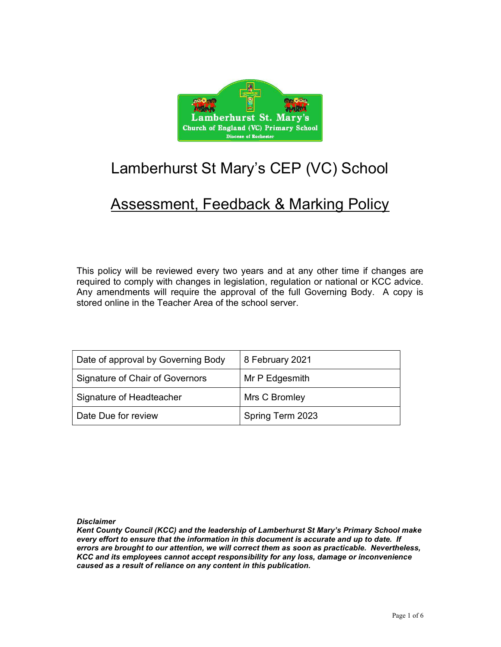

# Lamberhurst St Mary's CEP (VC) School

## Assessment, Feedback & Marking Policy

This policy will be reviewed every two years and at any other time if changes are required to comply with changes in legislation, regulation or national or KCC advice. Any amendments will require the approval of the full Governing Body. A copy is stored online in the Teacher Area of the school server.

| Date of approval by Governing Body | 8 February 2021  |
|------------------------------------|------------------|
| Signature of Chair of Governors    | Mr P Edgesmith   |
| Signature of Headteacher           | Mrs C Bromley    |
| Date Due for review                | Spring Term 2023 |

**Disclaimer** 

Kent County Council (KCC) and the leadership of Lamberhurst St Mary's Primary School make every effort to ensure that the information in this document is accurate and up to date. If errors are brought to our attention, we will correct them as soon as practicable. Nevertheless, KCC and its employees cannot accept responsibility for any loss, damage or inconvenience caused as a result of reliance on any content in this publication.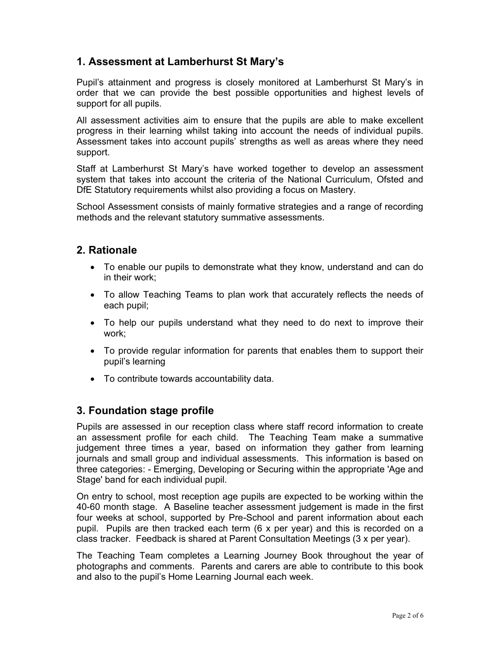## 1. Assessment at Lamberhurst St Mary's

Pupil's attainment and progress is closely monitored at Lamberhurst St Mary's in order that we can provide the best possible opportunities and highest levels of support for all pupils.

All assessment activities aim to ensure that the pupils are able to make excellent progress in their learning whilst taking into account the needs of individual pupils. Assessment takes into account pupils' strengths as well as areas where they need support.

Staff at Lamberhurst St Mary's have worked together to develop an assessment system that takes into account the criteria of the National Curriculum, Ofsted and DfE Statutory requirements whilst also providing a focus on Mastery.

School Assessment consists of mainly formative strategies and a range of recording methods and the relevant statutory summative assessments.

## 2. Rationale

- To enable our pupils to demonstrate what they know, understand and can do in their work;
- To allow Teaching Teams to plan work that accurately reflects the needs of each pupil;
- To help our pupils understand what they need to do next to improve their work;
- To provide regular information for parents that enables them to support their pupil's learning
- To contribute towards accountability data.

## 3. Foundation stage profile

Pupils are assessed in our reception class where staff record information to create an assessment profile for each child. The Teaching Team make a summative judgement three times a year, based on information they gather from learning journals and small group and individual assessments. This information is based on three categories: - Emerging, Developing or Securing within the appropriate 'Age and Stage' band for each individual pupil.

On entry to school, most reception age pupils are expected to be working within the 40-60 month stage. A Baseline teacher assessment judgement is made in the first four weeks at school, supported by Pre-School and parent information about each pupil. Pupils are then tracked each term (6 x per year) and this is recorded on a class tracker. Feedback is shared at Parent Consultation Meetings (3 x per year).

The Teaching Team completes a Learning Journey Book throughout the year of photographs and comments. Parents and carers are able to contribute to this book and also to the pupil's Home Learning Journal each week.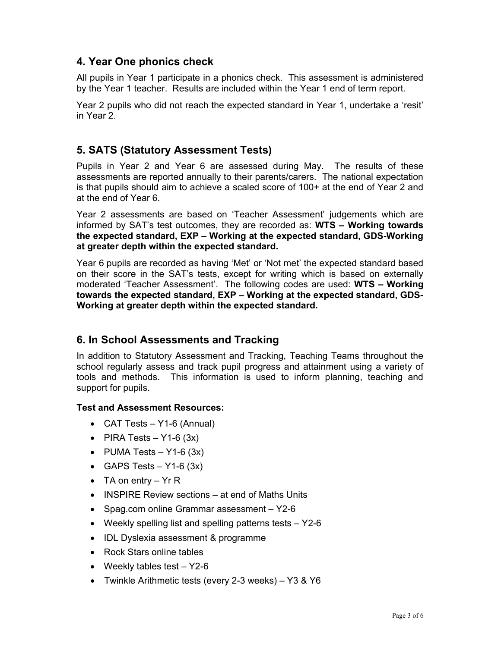## 4. Year One phonics check

All pupils in Year 1 participate in a phonics check. This assessment is administered by the Year 1 teacher. Results are included within the Year 1 end of term report.

Year 2 pupils who did not reach the expected standard in Year 1, undertake a 'resit' in Year 2.

## 5. SATS (Statutory Assessment Tests)

Pupils in Year 2 and Year 6 are assessed during May. The results of these assessments are reported annually to their parents/carers. The national expectation is that pupils should aim to achieve a scaled score of 100+ at the end of Year 2 and at the end of Year 6.

Year 2 assessments are based on 'Teacher Assessment' judgements which are informed by SAT's test outcomes, they are recorded as: WTS – Working towards the expected standard, EXP – Working at the expected standard, GDS-Working at greater depth within the expected standard.

Year 6 pupils are recorded as having 'Met' or 'Not met' the expected standard based on their score in the SAT's tests, except for writing which is based on externally moderated 'Teacher Assessment'. The following codes are used: WTS – Working towards the expected standard, EXP – Working at the expected standard, GDS-Working at greater depth within the expected standard.

## 6. In School Assessments and Tracking

In addition to Statutory Assessment and Tracking, Teaching Teams throughout the school regularly assess and track pupil progress and attainment using a variety of tools and methods. This information is used to inform planning, teaching and support for pupils.

#### Test and Assessment Resources:

- CAT Tests Y1-6 (Annual)
- PIRA Tests Y1-6  $(3x)$
- PUMA Tests  $-$  Y1-6 (3x)
- GAPS Tests  $Y1-6 (3x)$
- TA on entry  $Yr R$
- INSPIRE Review sections at end of Maths Units
- Spag.com online Grammar assessment Y2-6
- Weekly spelling list and spelling patterns tests  $-$  Y2-6
- IDL Dyslexia assessment & programme
- Rock Stars online tables
- Weekly tables test  $-$  Y2-6
- Twinkle Arithmetic tests (every 2-3 weeks) Y3 & Y6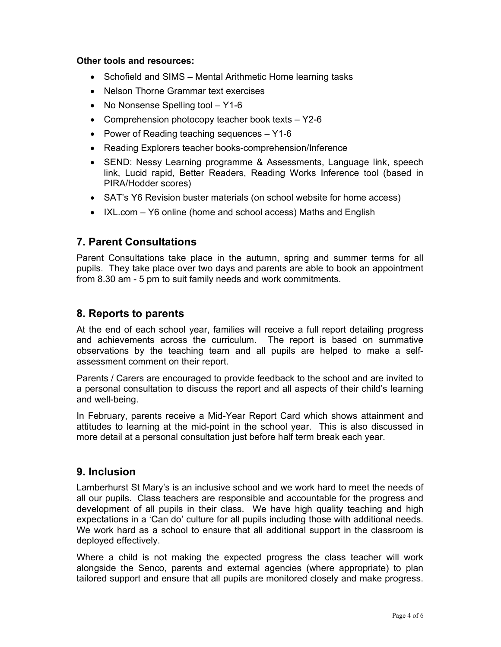#### Other tools and resources:

- Schofield and SIMS Mental Arithmetic Home learning tasks
- Nelson Thorne Grammar text exercises
- No Nonsense Spelling tool Y1-6
- Comprehension photocopy teacher book texts Y2-6
- Power of Reading teaching sequences  $-$  Y1-6
- Reading Explorers teacher books-comprehension/Inference
- SEND: Nessy Learning programme & Assessments, Language link, speech link, Lucid rapid, Better Readers, Reading Works Inference tool (based in PIRA/Hodder scores)
- SAT's Y6 Revision buster materials (on school website for home access)
- IXL.com Y6 online (home and school access) Maths and English

## 7. Parent Consultations

Parent Consultations take place in the autumn, spring and summer terms for all pupils. They take place over two days and parents are able to book an appointment from 8.30 am - 5 pm to suit family needs and work commitments.

## 8. Reports to parents

At the end of each school year, families will receive a full report detailing progress and achievements across the curriculum. The report is based on summative observations by the teaching team and all pupils are helped to make a selfassessment comment on their report.

Parents / Carers are encouraged to provide feedback to the school and are invited to a personal consultation to discuss the report and all aspects of their child's learning and well-being.

In February, parents receive a Mid-Year Report Card which shows attainment and attitudes to learning at the mid-point in the school year. This is also discussed in more detail at a personal consultation just before half term break each year.

## 9. Inclusion

Lamberhurst St Mary's is an inclusive school and we work hard to meet the needs of all our pupils. Class teachers are responsible and accountable for the progress and development of all pupils in their class. We have high quality teaching and high expectations in a 'Can do' culture for all pupils including those with additional needs. We work hard as a school to ensure that all additional support in the classroom is deployed effectively.

Where a child is not making the expected progress the class teacher will work alongside the Senco, parents and external agencies (where appropriate) to plan tailored support and ensure that all pupils are monitored closely and make progress.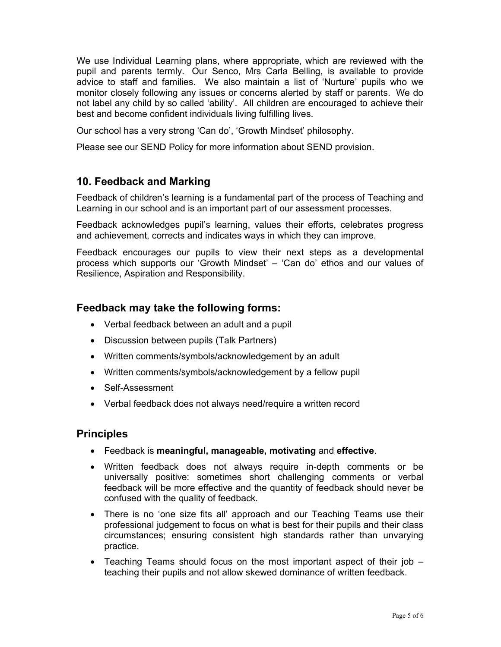We use Individual Learning plans, where appropriate, which are reviewed with the pupil and parents termly. Our Senco, Mrs Carla Belling, is available to provide advice to staff and families. We also maintain a list of 'Nurture' pupils who we monitor closely following any issues or concerns alerted by staff or parents. We do not label any child by so called 'ability'. All children are encouraged to achieve their best and become confident individuals living fulfilling lives.

Our school has a very strong 'Can do', 'Growth Mindset' philosophy.

Please see our SEND Policy for more information about SEND provision.

## 10. Feedback and Marking

Feedback of children's learning is a fundamental part of the process of Teaching and Learning in our school and is an important part of our assessment processes.

Feedback acknowledges pupil's learning, values their efforts, celebrates progress and achievement, corrects and indicates ways in which they can improve.

Feedback encourages our pupils to view their next steps as a developmental process which supports our 'Growth Mindset' – 'Can do' ethos and our values of Resilience, Aspiration and Responsibility.

## Feedback may take the following forms:

- Verbal feedback between an adult and a pupil
- Discussion between pupils (Talk Partners)
- Written comments/symbols/acknowledgement by an adult
- Written comments/symbols/acknowledgement by a fellow pupil
- Self-Assessment
- Verbal feedback does not always need/require a written record

## Principles

- Feedback is meaningful, manageable, motivating and effective.
- Written feedback does not always require in-depth comments or be universally positive: sometimes short challenging comments or verbal feedback will be more effective and the quantity of feedback should never be confused with the quality of feedback.
- There is no 'one size fits all' approach and our Teaching Teams use their professional judgement to focus on what is best for their pupils and their class circumstances; ensuring consistent high standards rather than unvarying practice.
- Teaching Teams should focus on the most important aspect of their job teaching their pupils and not allow skewed dominance of written feedback.